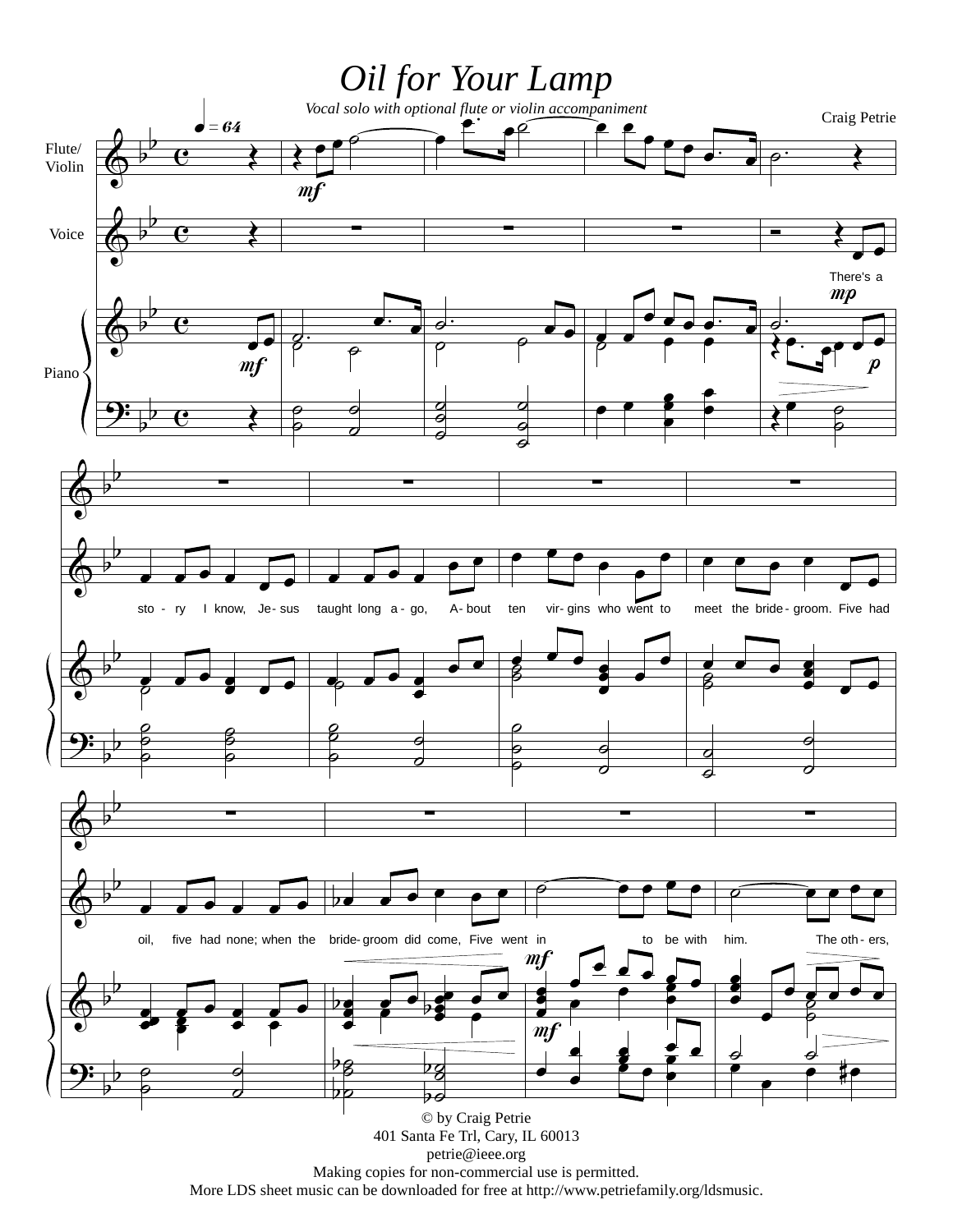

Making copies for non-commercial use is permitted. More LDS sheet music can be downloaded for free at http://www.petriefamily.org/ldsmusic.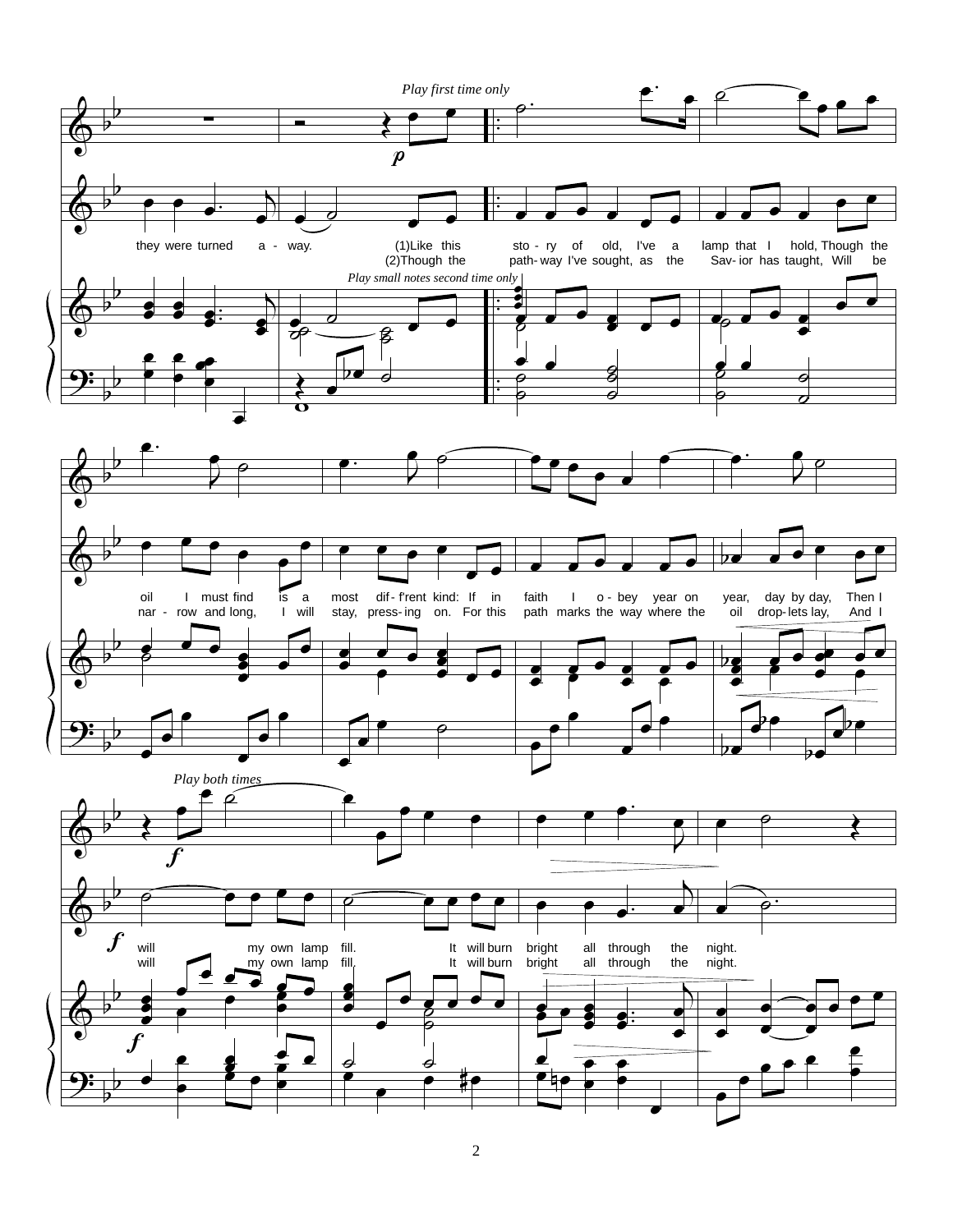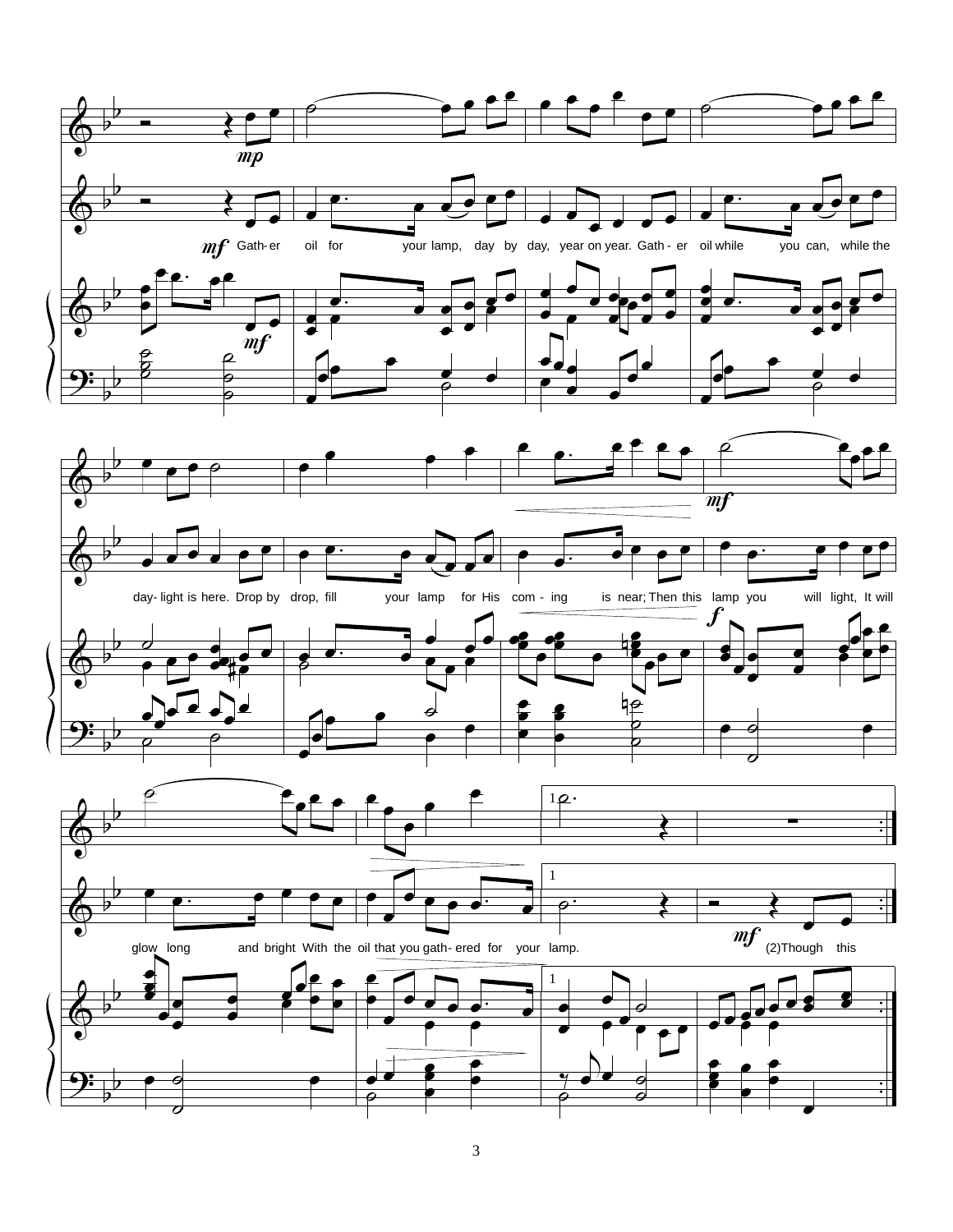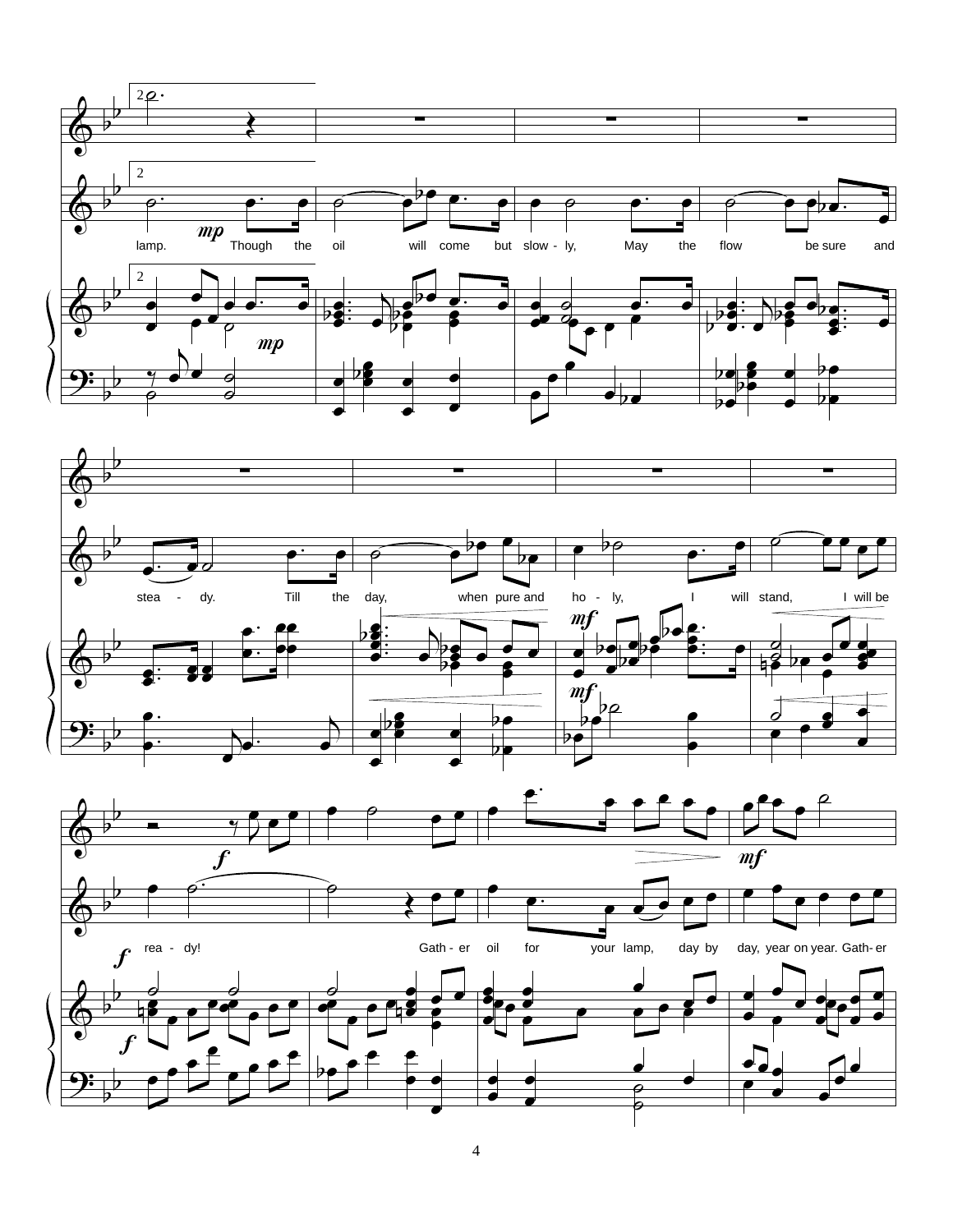